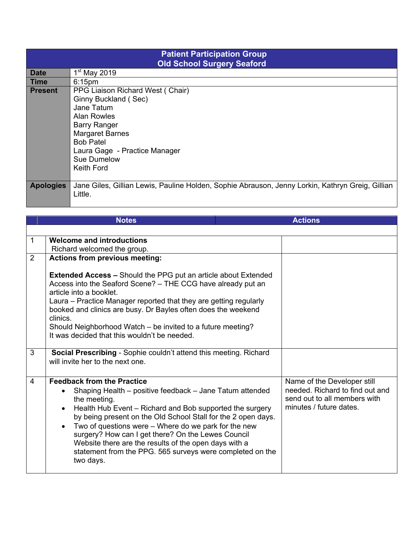| <b>Patient Participation Group</b><br><b>Old School Surgery Seaford</b> |                                                                                                  |  |  |
|-------------------------------------------------------------------------|--------------------------------------------------------------------------------------------------|--|--|
| <b>Date</b>                                                             | $1st$ May 2019                                                                                   |  |  |
| Time                                                                    | 6:15 <sub>pm</sub>                                                                               |  |  |
| <b>Present</b>                                                          | PPG Liaison Richard West (Chair)                                                                 |  |  |
|                                                                         | Ginny Buckland (Sec)                                                                             |  |  |
|                                                                         | Jane Tatum                                                                                       |  |  |
|                                                                         | <b>Alan Rowles</b>                                                                               |  |  |
|                                                                         | <b>Barry Ranger</b>                                                                              |  |  |
|                                                                         | <b>Margaret Barnes</b>                                                                           |  |  |
|                                                                         | <b>Bob Patel</b>                                                                                 |  |  |
|                                                                         | Laura Gage - Practice Manager                                                                    |  |  |
|                                                                         | Sue Dumelow                                                                                      |  |  |
|                                                                         | Keith Ford                                                                                       |  |  |
|                                                                         |                                                                                                  |  |  |
| <b>Apologies</b>                                                        | Jane Giles, Gillian Lewis, Pauline Holden, Sophie Abrauson, Jenny Lorkin, Kathryn Greig, Gillian |  |  |
|                                                                         | Little.                                                                                          |  |  |
|                                                                         |                                                                                                  |  |  |

|                | <b>Notes</b>                                                                                                                                                                                                                                                                                                                                                                                                                                                                                                          | <b>Actions</b>                                                                                                            |
|----------------|-----------------------------------------------------------------------------------------------------------------------------------------------------------------------------------------------------------------------------------------------------------------------------------------------------------------------------------------------------------------------------------------------------------------------------------------------------------------------------------------------------------------------|---------------------------------------------------------------------------------------------------------------------------|
|                |                                                                                                                                                                                                                                                                                                                                                                                                                                                                                                                       |                                                                                                                           |
| 1              | <b>Welcome and introductions</b><br>Richard welcomed the group.                                                                                                                                                                                                                                                                                                                                                                                                                                                       |                                                                                                                           |
| $\overline{2}$ | <b>Actions from previous meeting:</b>                                                                                                                                                                                                                                                                                                                                                                                                                                                                                 |                                                                                                                           |
|                | <b>Extended Access - Should the PPG put an article about Extended</b><br>Access into the Seaford Scene? - THE CCG have already put an<br>article into a booklet.<br>Laura – Practice Manager reported that they are getting regularly<br>booked and clinics are busy. Dr Bayles often does the weekend<br>clinics.<br>Should Neighborhood Watch – be invited to a future meeting?<br>It was decided that this wouldn't be needed.                                                                                     |                                                                                                                           |
| 3              | Social Prescribing - Sophie couldn't attend this meeting. Richard<br>will invite her to the next one.                                                                                                                                                                                                                                                                                                                                                                                                                 |                                                                                                                           |
| $\overline{4}$ | <b>Feedback from the Practice</b><br>Shaping Health – positive feedback – Jane Tatum attended<br>the meeting.<br>Health Hub Event – Richard and Bob supported the surgery<br>$\bullet$<br>by being present on the Old School Stall for the 2 open days.<br>Two of questions were – Where do we park for the new<br>$\bullet$<br>surgery? How can I get there? On the Lewes Council<br>Website there are the results of the open days with a<br>statement from the PPG. 565 surveys were completed on the<br>two days. | Name of the Developer still<br>needed. Richard to find out and<br>send out to all members with<br>minutes / future dates. |